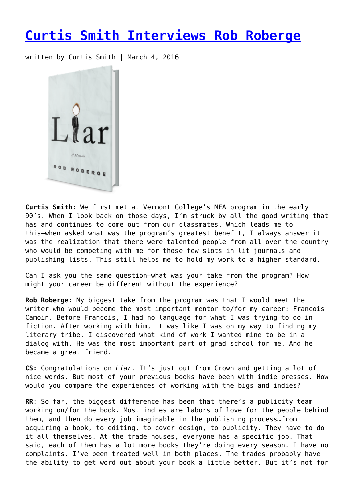## **[Curtis Smith Interviews Rob Roberge](https://entropymag.org/curtis-smith-interviews-rob-roberge/)**

written by Curtis Smith | March 4, 2016



**Curtis Smith**: We first met at Vermont College's MFA program in the early 90's. When I look back on those days, I'm struck by all the good writing that has and continues to come out from our classmates. Which leads me to this—when asked what was the program's greatest benefit, I always answer it was the realization that there were talented people from all over the country who would be competing with me for those few slots in lit journals and publishing lists. This still helps me to hold my work to a higher standard.

Can I ask you the same question—what was your take from the program? How might your career be different without the experience?

**Rob Roberge**: My biggest take from the program was that I would meet the writer who would become the most important mentor to/for my career: Francois Camoin. Before Francois, I had no language for what I was trying to do in fiction. After working with him, it was like I was on my way to finding my literary tribe. I discovered what kind of work I wanted mine to be in a dialog with. He was the most important part of grad school for me. And he became a great friend.

**CS:** Congratulations on *Liar.* It's just out from Crown and getting a lot of nice words. But most of your previous books have been with indie presses. How would you compare the experiences of working with the bigs and indies?

**RR**: So far, the biggest difference has been that there's a publicity team working on/for the book. Most indies are labors of love for the people behind them, and then do every job imaginable in the publishing process…from acquiring a book, to editing, to cover design, to publicity. They have to do it all themselves. At the trade houses, everyone has a specific job. That said, each of them has a lot more books they're doing every season. I have no complaints. I've been treated well in both places. The trades probably have the ability to get word out about your book a little better. But it's not for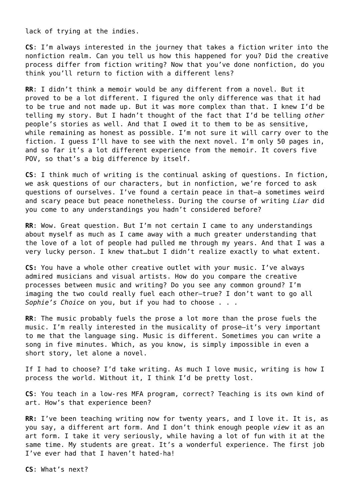lack of trying at the indies.

**CS**: I'm always interested in the journey that takes a fiction writer into the nonfiction realm. Can you tell us how this happened for you? Did the creative process differ from fiction writing? Now that you've done nonfiction, do you think you'll return to fiction with a different lens?

**RR**: I didn't think a memoir would be any different from a novel. But it proved to be a lot different. I figured the only difference was that it had to be true and not made up. But it was more complex than that. I knew I'd be telling my story. But I hadn't thought of the fact that I'd be telling *other* people's stories as well. And that I owed it to them to be as sensitive, while remaining as honest as possible. I'm not sure it will carry over to the fiction. I guess I'll have to see with the next novel. I'm only 50 pages in, and so far it's a lot different experience from the memoir. It covers five POV, so that's a big difference by itself.

**CS**: I think much of writing is the continual asking of questions. In fiction, we ask questions of our characters, but in nonfiction, we're forced to ask questions of ourselves. I've found a certain peace in that—a sometimes weird and scary peace but peace nonetheless. During the course of writing *Liar* did you come to any understandings you hadn't considered before?

**RR**: Wow. Great question. But I'm not certain I came to any understandings about myself as much as I came away with a much greater understanding that the love of a lot of people had pulled me through my years. And that I was a very lucky person. I knew that…but I didn't realize exactly to what extent.

**CS:** You have a whole other creative outlet with your music. I've always admired musicians and visual artists. How do you compare the creative processes between music and writing? Do you see any common ground? I'm imaging the two could really fuel each other—true? I don't want to go all *Sophie's Choice* on you, but if you had to choose . . .

**RR**: The music probably fuels the prose a lot more than the prose fuels the music. I'm really interested in the musicality of prose—it's very important to me that the language sing. Music is different. Sometimes you can write a song in five minutes. Which, as you know, is simply impossible in even a short story, let alone a novel.

If I had to choose? I'd take writing. As much I love music, writing is how I process the world. Without it, I think I'd be pretty lost.

**CS**: You teach in a low-res MFA program, correct? Teaching is its own kind of art. How's that experience been?

**RR:** I've been teaching writing now for twenty years, and I love it. It is, as you say, a different art form. And I don't think enough people *view* it as an art form. I take it very seriously, while having a lot of fun with it at the same time. My students are great. It's a wonderful experience. The first job I've ever had that I haven't hated-ha!

**CS**: What's next?